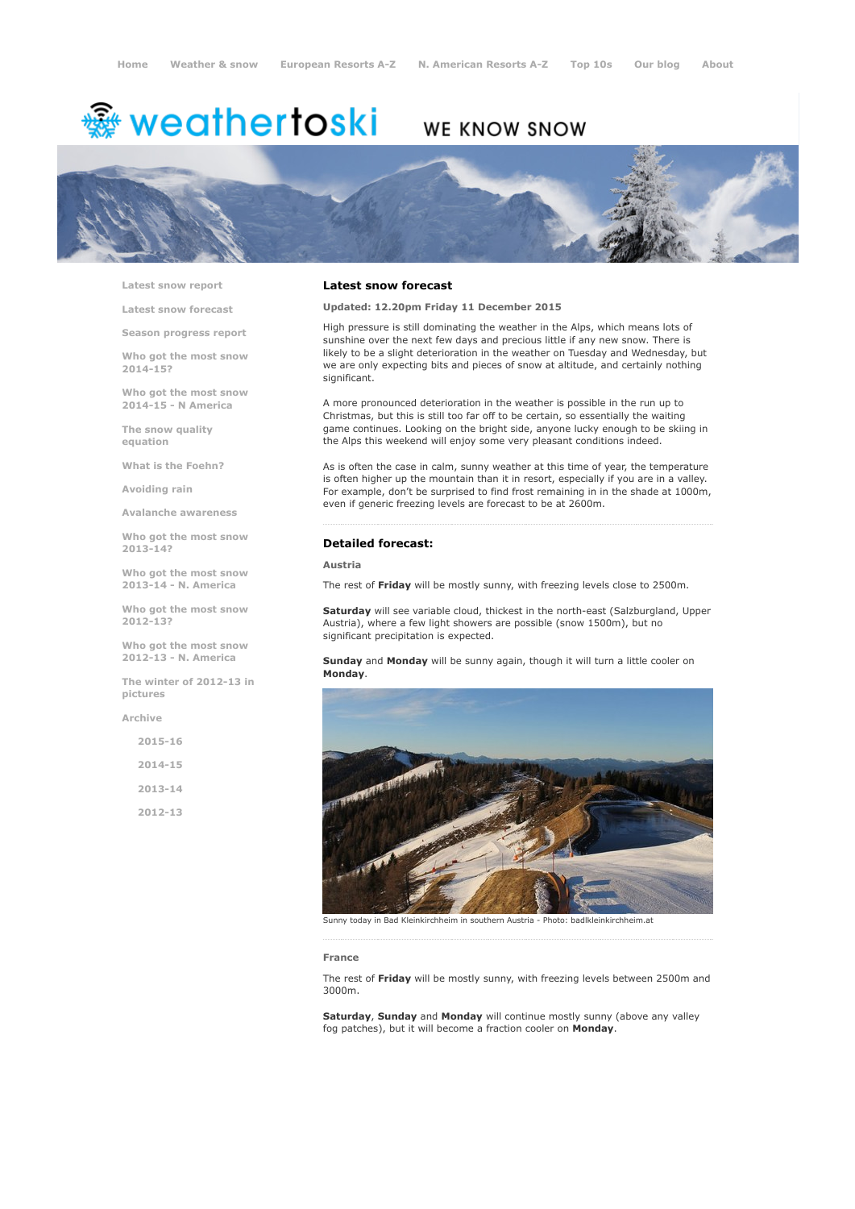# <del>鑾</del> weathertoski

# WE KNOW SNOW



Latest snow [report](http://www.weathertoski.co.uk/weather-snow/latest-snow-report/)

Latest snow [forecast](http://www.weathertoski.co.uk/weather-snow/latest-snow-forecast/)

Season [progress](http://www.weathertoski.co.uk/weather-snow/season-progress-report/) report

Who got the most snow 2014-15?

Who got the most snow 2014-15 - N America

The snow quality [equation](http://www.weathertoski.co.uk/weather-snow/the-snow-quality-equation/)

What is the [Foehn?](http://www.weathertoski.co.uk/weather-snow/what-is-the-foehn/)

[Avoiding](http://www.weathertoski.co.uk/weather-snow/avoiding-rain/) rain

Avalanche [awareness](http://www.weathertoski.co.uk/weather-snow/avalanche-awareness/)

Who got the most snow 2013-14?

Who got the most snow 2013-14 - N. America

Who got the most snow 2012-13?

Who got the most snow 2012-13 - N. America

The winter of 2012-13 in pictures

[Archive](http://www.weathertoski.co.uk/weather-snow/archive/)

 $2015 - 16$ 2014-15 2013-14 2012-13

#### Latest snow forecast

Updated: 12.20pm Friday 11 December 2015

High pressure is still dominating the weather in the Alps, which means lots of sunshine over the next few days and precious little if any new snow. There is likely to be a slight deterioration in the weather on Tuesday and Wednesday, but we are only expecting bits and pieces of snow at altitude, and certainly nothing significant.

A more pronounced deterioration in the weather is possible in the run up to Christmas, but this is still too far off to be certain, so essentially the waiting game continues. Looking on the bright side, anyone lucky enough to be skiing in the Alps this weekend will enjoy some very pleasant conditions indeed.

As is often the case in calm, sunny weather at this time of year, the temperature is often higher up the mountain than it in resort, especially if you are in a valley. For example, don't be surprised to find frost remaining in in the shade at 1000m, even if generic freezing levels are forecast to be at 2600m.

#### Detailed forecast:

### Austria

The rest of Friday will be mostly sunny, with freezing levels close to 2500m.

Saturday will see variable cloud, thickest in the north-east (Salzburgland, Upper Austria), where a few light showers are possible (snow 1500m), but no significant precipitation is expected.

Sunday and Monday will be sunny again, though it will turn a little cooler on Monday.



Sunny today in Bad Kleinkirchheim in southern Austria Photo: badlkleinkirchheim.at

#### France

The rest of Friday will be mostly sunny, with freezing levels between 2500m and 3000m.

Saturday, Sunday and Monday will continue mostly sunny (above any valley fog patches), but it will become a fraction cooler on Monday.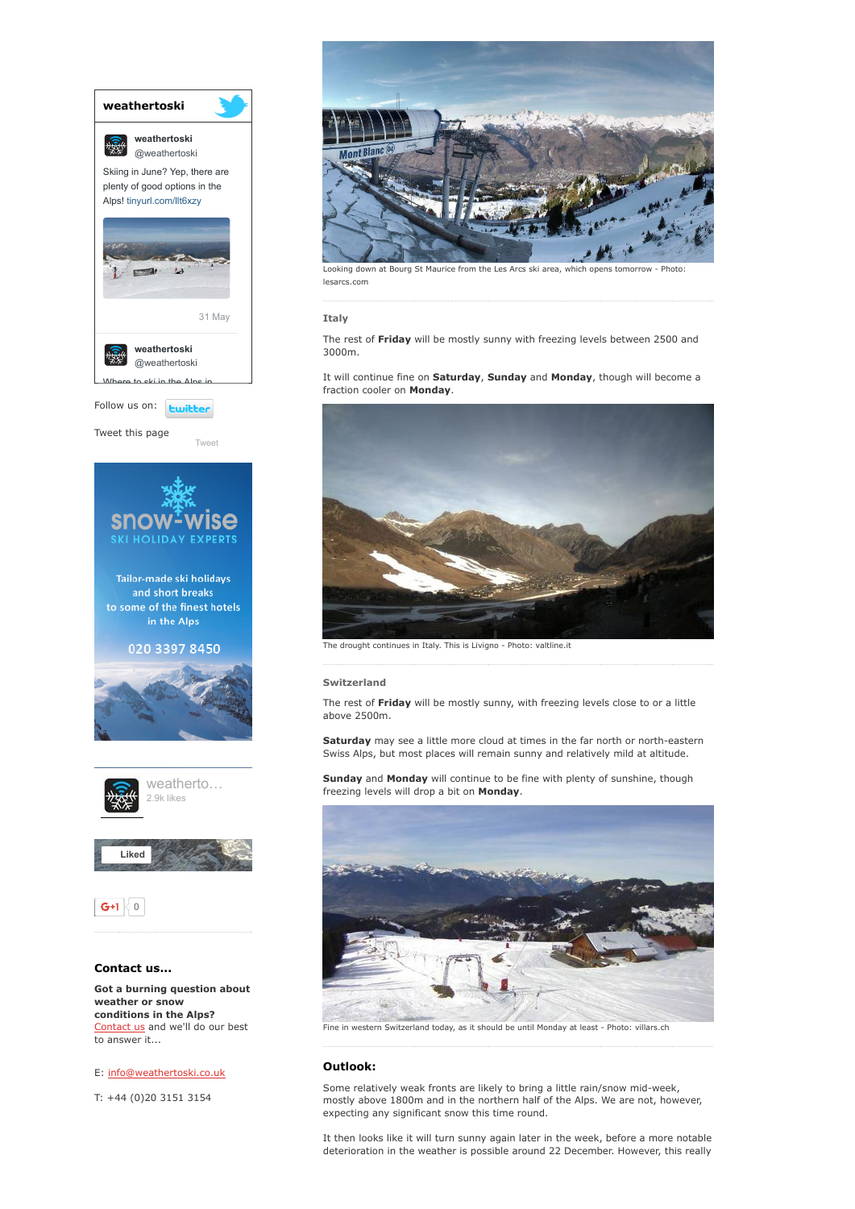

[Contact](http://www.weathertoski.co.uk/about-1/contact-us/) us and we'll do our best to answer it...

## E: [info@weathertoski.co.uk](mailto:fraser@weathertoski.co.uk)

T: +44 (0)20 3151 3154



Looking down at Bourg St Maurice from the Les Arcs ski area, which opens tomorrow - Photo lesarcs.com

#### Italy

The rest of Friday will be mostly sunny with freezing levels between 2500 and 3000m.

It will continue fine on Saturday, Sunday and Monday, though will become a fraction cooler on Monday.



The drought continues in Italy. This is Livigno - Photo: valtline.it

#### Switzerland

The rest of Friday will be mostly sunny, with freezing levels close to or a little above 2500m.

Saturday may see a little more cloud at times in the far north or north-eastern Swiss Alps, but most places will remain sunny and relatively mild at altitude.

Sunday and Monday will continue to be fine with plenty of sunshine, though freezing levels will drop a bit on Monday.



Fine in western Switzerland today, as it should be until Monday at least - Photo: villars.ch

#### Outlook:

Some relatively weak fronts are likely to bring a little rain/snow mid-week, mostly above 1800m and in the northern half of the Alps. We are not, however, expecting any significant snow this time round.

It then looks like it will turn sunny again later in the week, before a more notable deterioration in the weather is possible around 22 December. However, this really